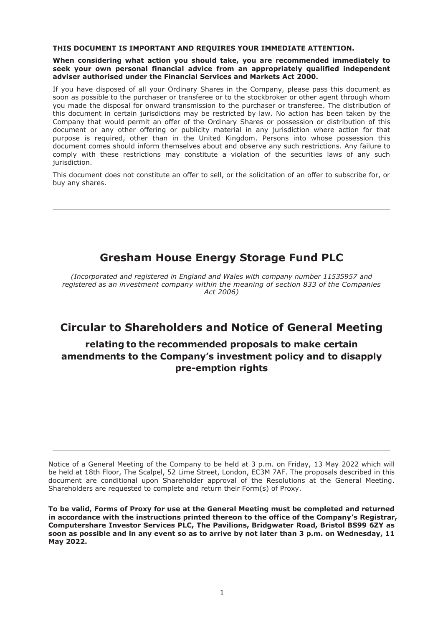#### **THIS DOCUMENT IS IMPORTANT AND REQUIRES YOUR IMMEDIATE ATTENTION.**

#### **When considering what action you should take, you are recommended immediately to seek your own personal financial advice from an appropriately qualified independent adviser authorised under the Financial Services and Markets Act 2000.**

If you have disposed of all your Ordinary Shares in the Company, please pass this document as soon as possible to the purchaser or transferee or to the stockbroker or other agent through whom you made the disposal for onward transmission to the purchaser or transferee. The distribution of this document in certain jurisdictions may be restricted by law. No action has been taken by the Company that would permit an offer of the Ordinary Shares or possession or distribution of this document or any other offering or publicity material in any jurisdiction where action for that purpose is required, other than in the United Kingdom. Persons into whose possession this document comes should inform themselves about and observe any such restrictions. Any failure to comply with these restrictions may constitute a violation of the securities laws of any such jurisdiction.

This document does not constitute an offer to sell, or the solicitation of an offer to subscribe for, or buy any shares.

# **Gresham House Energy Storage Fund PLC**

*(Incorporated and registered in England and Wales with company number 11535957 and registered as an investment company within the meaning of section 833 of the Companies Act 2006)*

## **Circular to Shareholders and Notice of General Meeting**

## **relating to the recommended proposals to make certain amendments to the Company's investment policy and to disapply pre-emption rights**

Notice of a General Meeting of the Company to be held at 3 p.m. on Friday, 13 May 2022 which will be held at 18th Floor, The Scalpel, 52 Lime Street, London, EC3M 7AF. The proposals described in this document are conditional upon Shareholder approval of the Resolutions at the General Meeting. Shareholders are requested to complete and return their Form(s) of Proxy.

**To be valid, Forms of Proxy for use at the General Meeting must be completed and returned in accordance with the instructions printed thereon to the office of the Company's Registrar, Computershare Investor Services PLC, The Pavilions, Bridgwater Road, Bristol BS99 6ZY as soon as possible and in any event so as to arrive by not later than 3 p.m. on Wednesday, 11 May 2022.**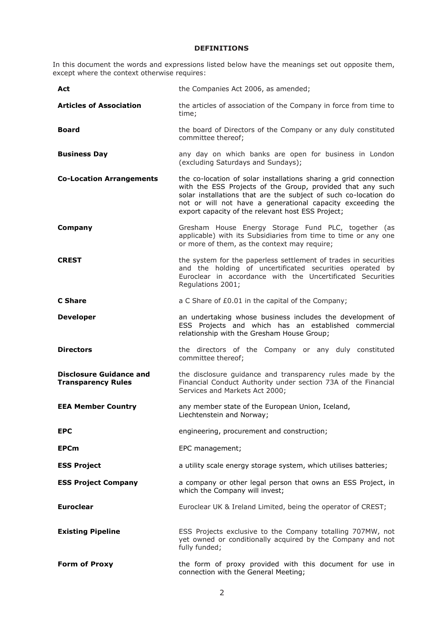## **DEFINITIONS**

In this document the words and expressions listed below have the meanings set out opposite them, except where the context otherwise requires:

| Act                                                         | the Companies Act 2006, as amended;                                                                                                                                                                                                                                                                                  |  |  |
|-------------------------------------------------------------|----------------------------------------------------------------------------------------------------------------------------------------------------------------------------------------------------------------------------------------------------------------------------------------------------------------------|--|--|
| <b>Articles of Association</b>                              | the articles of association of the Company in force from time to<br>time;                                                                                                                                                                                                                                            |  |  |
| Board                                                       | the board of Directors of the Company or any duly constituted<br>committee thereof;                                                                                                                                                                                                                                  |  |  |
| <b>Business Day</b>                                         | any day on which banks are open for business in London<br>(excluding Saturdays and Sundays);                                                                                                                                                                                                                         |  |  |
| <b>Co-Location Arrangements</b>                             | the co-location of solar installations sharing a grid connection<br>with the ESS Projects of the Group, provided that any such<br>solar installations that are the subject of such co-location do<br>not or will not have a generational capacity exceeding the<br>export capacity of the relevant host ESS Project; |  |  |
| Company                                                     | Gresham House Energy Storage Fund PLC, together (as<br>applicable) with its Subsidiaries from time to time or any one<br>or more of them, as the context may require;                                                                                                                                                |  |  |
| <b>CREST</b>                                                | the system for the paperless settlement of trades in securities<br>and the holding of uncertificated securities operated by<br>Euroclear in accordance with the Uncertificated Securities<br>Regulations 2001;                                                                                                       |  |  |
| C Share                                                     | a C Share of £0.01 in the capital of the Company;                                                                                                                                                                                                                                                                    |  |  |
| <b>Developer</b>                                            | an undertaking whose business includes the development of<br>ESS Projects and which has an established commercial<br>relationship with the Gresham House Group;                                                                                                                                                      |  |  |
| <b>Directors</b>                                            | the directors of the Company or any duly constituted<br>committee thereof;                                                                                                                                                                                                                                           |  |  |
| <b>Disclosure Guidance and</b><br><b>Transparency Rules</b> | the disclosure guidance and transparency rules made by the<br>Financial Conduct Authority under section 73A of the Financial<br>Services and Markets Act 2000;                                                                                                                                                       |  |  |
| <b>EEA Member Country</b>                                   | any member state of the European Union, Iceland,<br>Liechtenstein and Norway;                                                                                                                                                                                                                                        |  |  |
| <b>EPC</b>                                                  | engineering, procurement and construction;                                                                                                                                                                                                                                                                           |  |  |
| <b>EPCm</b>                                                 | EPC management;                                                                                                                                                                                                                                                                                                      |  |  |
| <b>ESS Project</b>                                          | a utility scale energy storage system, which utilises batteries;                                                                                                                                                                                                                                                     |  |  |
| <b>ESS Project Company</b>                                  | a company or other legal person that owns an ESS Project, in<br>which the Company will invest;                                                                                                                                                                                                                       |  |  |
| <b>Euroclear</b>                                            | Euroclear UK & Ireland Limited, being the operator of CREST;                                                                                                                                                                                                                                                         |  |  |
| <b>Existing Pipeline</b>                                    | ESS Projects exclusive to the Company totalling 707MW, not<br>yet owned or conditionally acquired by the Company and not<br>fully funded;                                                                                                                                                                            |  |  |
| <b>Form of Proxy</b>                                        | the form of proxy provided with this document for use in<br>connection with the General Meeting;                                                                                                                                                                                                                     |  |  |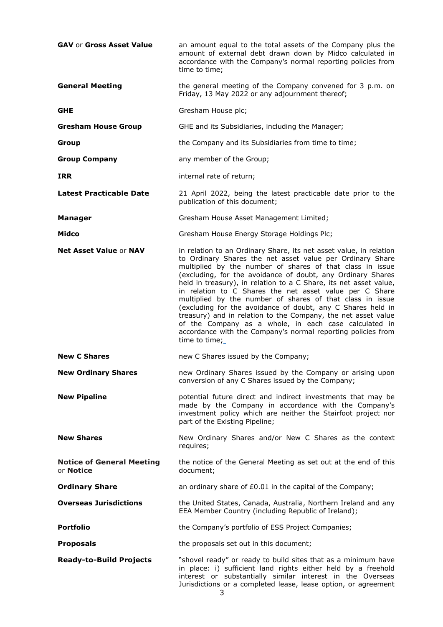| <b>GAV or Gross Asset Value</b>                      | an amount equal to the total assets of the Company plus the<br>amount of external debt drawn down by Midco calculated in<br>accordance with the Company's normal reporting policies from<br>time to time;                                                                                                                                                                                                                                                                                                                                                                                                                                                                                                                          |  |  |  |
|------------------------------------------------------|------------------------------------------------------------------------------------------------------------------------------------------------------------------------------------------------------------------------------------------------------------------------------------------------------------------------------------------------------------------------------------------------------------------------------------------------------------------------------------------------------------------------------------------------------------------------------------------------------------------------------------------------------------------------------------------------------------------------------------|--|--|--|
| <b>General Meeting</b>                               | the general meeting of the Company convened for 3 p.m. on<br>Friday, 13 May 2022 or any adjournment thereof;                                                                                                                                                                                                                                                                                                                                                                                                                                                                                                                                                                                                                       |  |  |  |
| <b>GHE</b>                                           | Gresham House plc;                                                                                                                                                                                                                                                                                                                                                                                                                                                                                                                                                                                                                                                                                                                 |  |  |  |
| <b>Gresham House Group</b>                           | GHE and its Subsidiaries, including the Manager;                                                                                                                                                                                                                                                                                                                                                                                                                                                                                                                                                                                                                                                                                   |  |  |  |
| Group                                                | the Company and its Subsidiaries from time to time;                                                                                                                                                                                                                                                                                                                                                                                                                                                                                                                                                                                                                                                                                |  |  |  |
| <b>Group Company</b>                                 | any member of the Group;                                                                                                                                                                                                                                                                                                                                                                                                                                                                                                                                                                                                                                                                                                           |  |  |  |
| <b>IRR</b>                                           | internal rate of return;                                                                                                                                                                                                                                                                                                                                                                                                                                                                                                                                                                                                                                                                                                           |  |  |  |
| <b>Latest Practicable Date</b>                       | 21 April 2022, being the latest practicable date prior to the<br>publication of this document;                                                                                                                                                                                                                                                                                                                                                                                                                                                                                                                                                                                                                                     |  |  |  |
| <b>Manager</b>                                       | Gresham House Asset Management Limited;                                                                                                                                                                                                                                                                                                                                                                                                                                                                                                                                                                                                                                                                                            |  |  |  |
| Midco                                                | Gresham House Energy Storage Holdings Plc;                                                                                                                                                                                                                                                                                                                                                                                                                                                                                                                                                                                                                                                                                         |  |  |  |
| <b>Net Asset Value or NAV</b>                        | in relation to an Ordinary Share, its net asset value, in relation<br>to Ordinary Shares the net asset value per Ordinary Share<br>multiplied by the number of shares of that class in issue<br>(excluding, for the avoidance of doubt, any Ordinary Shares<br>held in treasury), in relation to a C Share, its net asset value,<br>in relation to C Shares the net asset value per C Share<br>multiplied by the number of shares of that class in issue<br>(excluding for the avoidance of doubt, any C Shares held in<br>treasury) and in relation to the Company, the net asset value<br>of the Company as a whole, in each case calculated in<br>accordance with the Company's normal reporting policies from<br>time to time; |  |  |  |
| <b>New C Shares</b>                                  | new C Shares issued by the Company;                                                                                                                                                                                                                                                                                                                                                                                                                                                                                                                                                                                                                                                                                                |  |  |  |
| <b>New Ordinary Shares</b>                           | new Ordinary Shares issued by the Company or arising upon<br>conversion of any C Shares issued by the Company;                                                                                                                                                                                                                                                                                                                                                                                                                                                                                                                                                                                                                     |  |  |  |
| <b>New Pipeline</b>                                  | potential future direct and indirect investments that may be<br>made by the Company in accordance with the Company's<br>investment policy which are neither the Stairfoot project nor<br>part of the Existing Pipeline;                                                                                                                                                                                                                                                                                                                                                                                                                                                                                                            |  |  |  |
| <b>New Shares</b>                                    | New Ordinary Shares and/or New C Shares as the context<br>requires;                                                                                                                                                                                                                                                                                                                                                                                                                                                                                                                                                                                                                                                                |  |  |  |
| <b>Notice of General Meeting</b><br>or <b>Notice</b> | the notice of the General Meeting as set out at the end of this<br>document;                                                                                                                                                                                                                                                                                                                                                                                                                                                                                                                                                                                                                                                       |  |  |  |
| <b>Ordinary Share</b>                                | an ordinary share of £0.01 in the capital of the Company;                                                                                                                                                                                                                                                                                                                                                                                                                                                                                                                                                                                                                                                                          |  |  |  |
| <b>Overseas Jurisdictions</b>                        | the United States, Canada, Australia, Northern Ireland and any<br>EEA Member Country (including Republic of Ireland);                                                                                                                                                                                                                                                                                                                                                                                                                                                                                                                                                                                                              |  |  |  |
| <b>Portfolio</b>                                     | the Company's portfolio of ESS Project Companies;                                                                                                                                                                                                                                                                                                                                                                                                                                                                                                                                                                                                                                                                                  |  |  |  |
| <b>Proposals</b>                                     | the proposals set out in this document;                                                                                                                                                                                                                                                                                                                                                                                                                                                                                                                                                                                                                                                                                            |  |  |  |
| <b>Ready-to-Build Projects</b>                       | "shovel ready" or ready to build sites that as a minimum have<br>in place: i) sufficient land rights either held by a freehold<br>interest or substantially similar interest in the Overseas<br>Jurisdictions or a completed lease, lease option, or agreement                                                                                                                                                                                                                                                                                                                                                                                                                                                                     |  |  |  |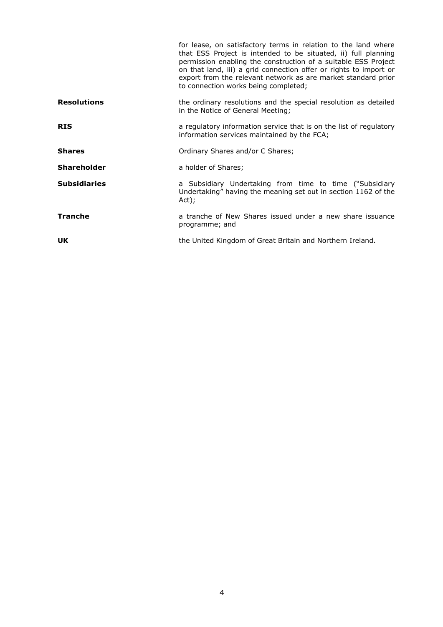|                     | for lease, on satisfactory terms in relation to the land where<br>that ESS Project is intended to be situated, ii) full planning<br>permission enabling the construction of a suitable ESS Project<br>on that land, iii) a grid connection offer or rights to import or<br>export from the relevant network as are market standard prior<br>to connection works being completed; |  |  |  |
|---------------------|----------------------------------------------------------------------------------------------------------------------------------------------------------------------------------------------------------------------------------------------------------------------------------------------------------------------------------------------------------------------------------|--|--|--|
| <b>Resolutions</b>  | the ordinary resolutions and the special resolution as detailed<br>in the Notice of General Meeting;                                                                                                                                                                                                                                                                             |  |  |  |
| <b>RIS</b>          | a regulatory information service that is on the list of regulatory<br>information services maintained by the FCA;                                                                                                                                                                                                                                                                |  |  |  |
| <b>Shares</b>       | Ordinary Shares and/or C Shares;                                                                                                                                                                                                                                                                                                                                                 |  |  |  |
| <b>Shareholder</b>  | a holder of Shares;                                                                                                                                                                                                                                                                                                                                                              |  |  |  |
| <b>Subsidiaries</b> | a Subsidiary Undertaking from time to time ("Subsidiary<br>Undertaking" having the meaning set out in section 1162 of the<br>Act);                                                                                                                                                                                                                                               |  |  |  |
| <b>Tranche</b>      | a tranche of New Shares issued under a new share issuance<br>programme; and                                                                                                                                                                                                                                                                                                      |  |  |  |
| <b>UK</b>           | the United Kingdom of Great Britain and Northern Ireland.                                                                                                                                                                                                                                                                                                                        |  |  |  |
|                     |                                                                                                                                                                                                                                                                                                                                                                                  |  |  |  |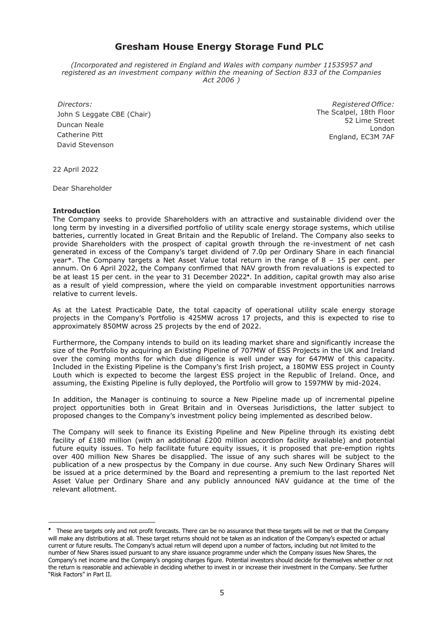## **Gresham House Energy Storage Fund PLC**

*(Incorporated and registered in England and Wales with company number 11535957 and registered as an investment company within the meaning of Section 833 of the Companies Act 2006 )*

 *Directors:* John S Leggate CBE (Chair) Duncan Neale Catherine Pitt David Stevenson

*Registered Office:* The Scalpel, 18th Floor 52 Lime Street London England, EC3M 7AF

22 April 2022

Dear Shareholder

#### **Introduction**

The Company seeks to provide Shareholders with an attractive and sustainable dividend over the long term by investing in a diversified portfolio of utility scale energy storage systems, which utilise batteries, currently located in Great Britain and the Republic of Ireland. The Company also seeks to provide Shareholders with the prospect of capital growth through the re-investment of net cash generated in excess of the Company's target dividend of 7.0p per Ordinary Share in each financial year\*. The Company targets a Net Asset Value total return in the range of 8 – 15 per cent. per annum. On 6 April 2022, the Company confirmed that NAV growth from revaluations is expected to be at least 15 per cent. in the year to 31 December 2022 . In addition, capital growth may also arise as a result of yield compression, where the yield on comparable investment opportunities narrows relative to current levels.

As at the Latest Practicable Date, the total capacity of operational utility scale energy storage projects in the Company's Portfolio is 425MW across 17 projects, and this is expected to rise to approximately 850MW across 25 projects by the end of 2022.

Furthermore, the Company intends to build on its leading market share and significantly increase the size of the Portfolio by acquiring an Existing Pipeline of 707MW of ESS Projects in the UK and Ireland over the coming months for which due diligence is well under way for 647MW of this capacity. Included in the Existing Pipeline is the Company's first Irish project, a 180MW ESS project in County Louth which is expected to become the largest ESS project in the Republic of Ireland. Once, and assuming, the Existing Pipeline is fully deployed, the Portfolio will grow to 1597MW by mid-2024.

In addition, the Manager is continuing to source a New Pipeline made up of incremental pipeline project opportunities both in Great Britain and in Overseas Jurisdictions, the latter subject to proposed changes to the Company's investment policy being implemented as described below.

The Company will seek to finance its Existing Pipeline and New Pipeline through its existing debt facility of £180 million (with an additional £200 million accordion facility available) and potential future equity issues. To help facilitate future equity issues, it is proposed that pre-emption rights over 400 million New Shares be disapplied. The issue of any such shares will be subject to the publication of a new prospectus by the Company in due course. Any such New Ordinary Shares will be issued at a price determined by the Board and representing a premium to the last reported Net Asset Value per Ordinary Share and any publicly announced NAV guidance at the time of the relevant allotment.

 These are targets only and not profit forecasts. There can be no assurance that these targets will be met or that the Company will make any distributions at all. These target returns should not be taken as an indication of the Company's expected or actual current or future results. The Company's actual return will depend upon a number of factors, including but not limited to the number of New Shares issued pursuant to any share issuance programme under which the Company issues New Shares, the Company's net income and the Company's ongoing charges figure. Potential investors should decide for themselves whether or not the return is reasonable and achievable in deciding whether to invest in or increase their investment in the Company. See further "Risk Factors" in Part II.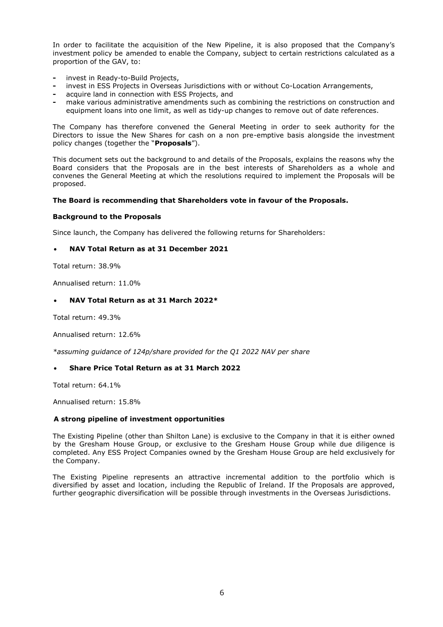In order to facilitate the acquisition of the New Pipeline, it is also proposed that the Company's investment policy be amended to enable the Company, subject to certain restrictions calculated as a proportion of the GAV, to:

- **-** invest in Ready-to-Build Projects,
- **-** invest in ESS Projects in Overseas Jurisdictions with or without Co-Location Arrangements,
- **-** acquire land in connection with ESS Projects, and
- **-** make various administrative amendments such as combining the restrictions on construction and equipment loans into one limit, as well as tidy-up changes to remove out of date references.

The Company has therefore convened the General Meeting in order to seek authority for the Directors to issue the New Shares for cash on a non pre-emptive basis alongside the investment policy changes (together the "**Proposals**").

This document sets out the background to and details of the Proposals, explains the reasons why the Board considers that the Proposals are in the best interests of Shareholders as a whole and convenes the General Meeting at which the resolutions required to implement the Proposals will be proposed.

#### **The Board is recommending that Shareholders vote in favour of the Proposals.**

#### **Background to the Proposals**

Since launch, the Company has delivered the following returns for Shareholders:

## • **NAV Total Return as at 31 December 2021**

Total return: 38.9%

Annualised return: 11.0%

## • **NAV Total Return as at 31 March 2022\***

Total return: 49.3%

Annualised return: 12.6%

*\*assuming guidance of 124p/share provided for the Q1 2022 NAV per share*

#### • **Share Price Total Return as at 31 March 2022**

Total return: 64.1%

Annualised return: 15.8%

#### **A strong pipeline of investment opportunities**

The Existing Pipeline (other than Shilton Lane) is exclusive to the Company in that it is either owned by the Gresham House Group, or exclusive to the Gresham House Group while due diligence is completed. Any ESS Project Companies owned by the Gresham House Group are held exclusively for the Company.

The Existing Pipeline represents an attractive incremental addition to the portfolio which is diversified by asset and location, including the Republic of Ireland. If the Proposals are approved, further geographic diversification will be possible through investments in the Overseas Jurisdictions.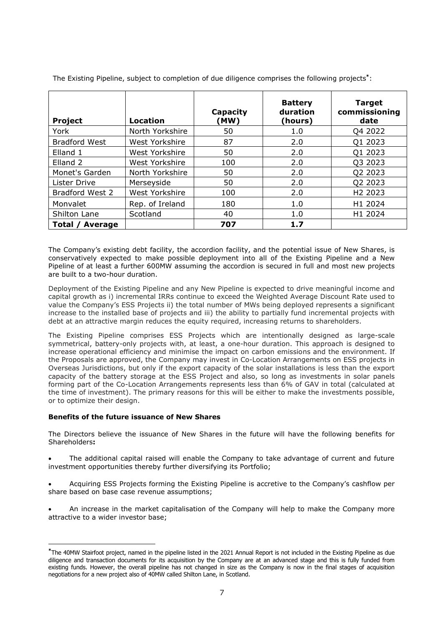| Project              | <b>Location</b> | Capacity<br>(MW) | <b>Battery</b><br>duration<br>(hours) | <b>Target</b><br>commissioning<br>date |
|----------------------|-----------------|------------------|---------------------------------------|----------------------------------------|
| York                 | North Yorkshire | 50               | 1.0                                   | Q4 2022                                |
| <b>Bradford West</b> | West Yorkshire  | 87               | 2.0                                   | Q1 2023                                |
| Elland 1             | West Yorkshire  | 50               | 2.0                                   | Q1 2023                                |
| Elland <sub>2</sub>  | West Yorkshire  | 100              | 2.0                                   | 03 2023                                |
| Monet's Garden       | North Yorkshire | 50               | 2.0                                   | Q2 2023                                |
| Lister Drive         | Merseyside      | 50               | 2.0                                   | Q2 2023                                |
| Bradford West 2      | West Yorkshire  | 100              | 2.0                                   | H <sub>2</sub> 2023                    |
| Monvalet             | Rep. of Ireland | 180              | 1.0                                   | H1 2024                                |
| Shilton Lane         | Scotland        | 40               | 1.0                                   | H1 2024                                |
| Total / Average      |                 | 707              | 1.7                                   |                                        |

The Existing Pipeline, subject to completion of due diligence comprises the following projects**\*** :

The Company's existing debt facility, the accordion facility, and the potential issue of New Shares, is conservatively expected to make possible deployment into all of the Existing Pipeline and a New Pipeline of at least a further 600MW assuming the accordion is secured in full and most new projects are built to a two-hour duration.

Deployment of the Existing Pipeline and any New Pipeline is expected to drive meaningful income and capital growth as i) incremental IRRs continue to exceed the Weighted Average Discount Rate used to value the Company's ESS Projects ii) the total number of MWs being deployed represents a significant increase to the installed base of projects and iii) the ability to partially fund incremental projects with debt at an attractive margin reduces the equity required, increasing returns to shareholders.

The Existing Pipeline comprises ESS Projects which are intentionally designed as large-scale symmetrical, battery-only projects with, at least, a one-hour duration. This approach is designed to increase operational efficiency and minimise the impact on carbon emissions and the environment. If the Proposals are approved, the Company may invest in Co-Location Arrangements on ESS projects in Overseas Jurisdictions, but only if the export capacity of the solar installations is less than the export capacity of the battery storage at the ESS Project and also, so long as investments in solar panels forming part of the Co-Location Arrangements represents less than 6% of GAV in total (calculated at the time of investment). The primary reasons for this will be either to make the investments possible, or to optimize their design.

## **Benefits of the future issuance of New Shares**

The Directors believe the issuance of New Shares in the future will have the following benefits for Shareholders**:**

• The additional capital raised will enable the Company to take advantage of current and future investment opportunities thereby further diversifying its Portfolio;

• Acquiring ESS Projects forming the Existing Pipeline is accretive to the Company's cashflow per share based on base case revenue assumptions;

• An increase in the market capitalisation of the Company will help to make the Company more attractive to a wider investor base;

**<sup>\*</sup>**The 40MW Stairfoot project, named in the pipeline listed in the 2021 Annual Report is not included in the Existing Pipeline as due diligence and transaction documents for its acquisition by the Company are at an advanced stage and this is fully funded from existing funds. However, the overall pipeline has not changed in size as the Company is now in the final stages of acquisition negotiations for a new project also of 40MW called Shilton Lane, in Scotland.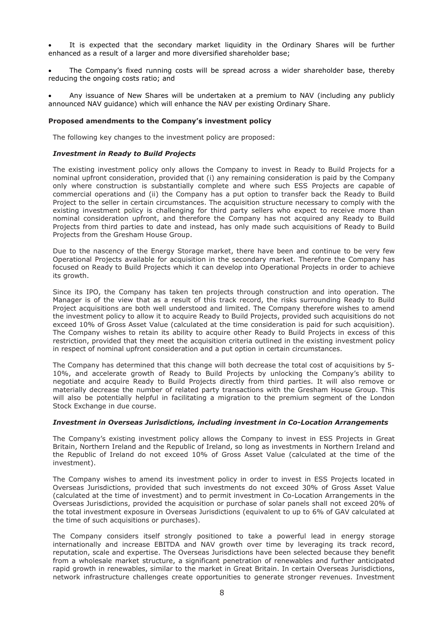It is expected that the secondary market liquidity in the Ordinary Shares will be further enhanced as a result of a larger and more diversified shareholder base;

• The Company's fixed running costs will be spread across a wider shareholder base, thereby reducing the ongoing costs ratio; and

• Any issuance of New Shares will be undertaken at a premium to NAV (including any publicly announced NAV guidance) which will enhance the NAV per existing Ordinary Share.

#### **Proposed amendments to the Company's investment policy**

The following key changes to the investment policy are proposed:

#### *Investment in Ready to Build Projects*

The existing investment policy only allows the Company to invest in Ready to Build Projects for a nominal upfront consideration, provided that (i) any remaining consideration is paid by the Company only where construction is substantially complete and where such ESS Projects are capable of commercial operations and (ii) the Company has a put option to transfer back the Ready to Build Project to the seller in certain circumstances. The acquisition structure necessary to comply with the existing investment policy is challenging for third party sellers who expect to receive more than nominal consideration upfront, and therefore the Company has not acquired any Ready to Build Projects from third parties to date and instead, has only made such acquisitions of Ready to Build Projects from the Gresham House Group.

Due to the nascency of the Energy Storage market, there have been and continue to be very few Operational Projects available for acquisition in the secondary market. Therefore the Company has focused on Ready to Build Projects which it can develop into Operational Projects in order to achieve its growth.

Since its IPO, the Company has taken ten projects through construction and into operation. The Manager is of the view that as a result of this track record, the risks surrounding Ready to Build Project acquisitions are both well understood and limited. The Company therefore wishes to amend the investment policy to allow it to acquire Ready to Build Projects, provided such acquisitions do not exceed 10% of Gross Asset Value (calculated at the time consideration is paid for such acquisition). The Company wishes to retain its ability to acquire other Ready to Build Projects in excess of this restriction, provided that they meet the acquisition criteria outlined in the existing investment policy in respect of nominal upfront consideration and a put option in certain circumstances.

The Company has determined that this change will both decrease the total cost of acquisitions by 5- 10%, and accelerate growth of Ready to Build Projects by unlocking the Company's ability to negotiate and acquire Ready to Build Projects directly from third parties. It will also remove or materially decrease the number of related party transactions with the Gresham House Group. This will also be potentially helpful in facilitating a migration to the premium segment of the London Stock Exchange in due course.

#### *Investment in Overseas Jurisdictions, including investment in Co-Location Arrangements*

The Company's existing investment policy allows the Company to invest in ESS Projects in Great Britain, Northern Ireland and the Republic of Ireland, so long as investments in Northern Ireland and the Republic of Ireland do not exceed 10% of Gross Asset Value (calculated at the time of the investment).

The Company wishes to amend its investment policy in order to invest in ESS Projects located in Overseas Jurisdictions, provided that such investments do not exceed 30% of Gross Asset Value (calculated at the time of investment) and to permit investment in Co-Location Arrangements in the Overseas Jurisdictions, provided the acquisition or purchase of solar panels shall not exceed 20% of the total investment exposure in Overseas Jurisdictions (equivalent to up to 6% of GAV calculated at the time of such acquisitions or purchases).

The Company considers itself strongly positioned to take a powerful lead in energy storage internationally and increase EBITDA and NAV growth over time by leveraging its track record, reputation, scale and expertise. The Overseas Jurisdictions have been selected because they benefit from a wholesale market structure, a significant penetration of renewables and further anticipated rapid growth in renewables, similar to the market in Great Britain. In certain Overseas Jurisdictions, network infrastructure challenges create opportunities to generate stronger revenues. Investment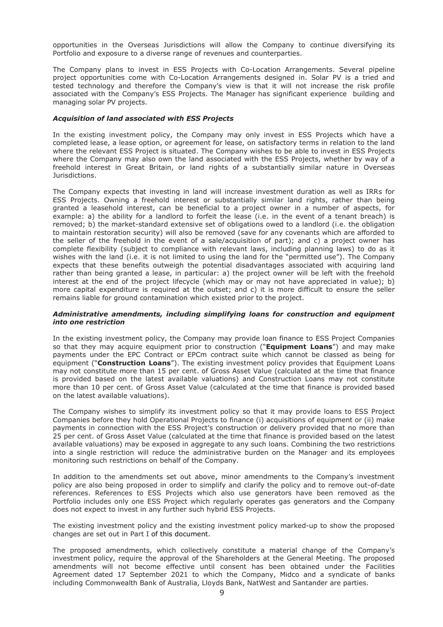opportunities in the Overseas Jurisdictions will allow the Company to continue diversifying its Portfolio and exposure to a diverse range of revenues and counterparties.

The Company plans to invest in ESS Projects with Co-Location Arrangements. Several pipeline project opportunities come with Co-Location Arrangements designed in. Solar PV is a tried and tested technology and therefore the Company's view is that it will not increase the risk profile associated with the Company's ESS Projects. The Manager has significant experience building and managing solar PV projects.

#### *Acquisition of land associated with ESS Projects*

In the existing investment policy, the Company may only invest in ESS Projects which have a completed lease, a lease option, or agreement for lease, on satisfactory terms in relation to the land where the relevant ESS Project is situated. The Company wishes to be able to invest in ESS Projects where the Company may also own the land associated with the ESS Projects, whether by way of a freehold interest in Great Britain, or land rights of a substantially similar nature in Overseas Jurisdictions.

The Company expects that investing in land will increase investment duration as well as IRRs for ESS Projects. Owning a freehold interest or substantially similar land rights, rather than being granted a leasehold interest, can be beneficial to a project owner in a number of aspects, for example: a) the ability for a landlord to forfeit the lease (i.e. in the event of a tenant breach) is removed; b) the market-standard extensive set of obligations owed to a landlord (i.e. the obligation to maintain restoration security) will also be removed (save for any covenants which are afforded to the seller of the freehold in the event of a sale/acquisition of part); and c) a project owner has complete flexibility (subject to compliance with relevant laws, including planning laws) to do as it wishes with the land (i.e. it is not limited to using the land for the "permitted use"). The Company expects that these benefits outweigh the potential disadvantages associated with acquiring land rather than being granted a lease, in particular: a) the project owner will be left with the freehold interest at the end of the project lifecycle (which may or may not have appreciated in value); b) more capital expenditure is required at the outset; and c) it is more difficult to ensure the seller remains liable for ground contamination which existed prior to the project.

#### *Administrative amendments, including simplifying loans for construction and equipment into one restriction*

In the existing investment policy, the Company may provide loan finance to ESS Project Companies so that they may acquire equipment prior to construction ("**Equipment Loans**") and may make payments under the EPC Contract or EPCm contract suite which cannot be classed as being for equipment ("**Construction Loans**"). The existing investment policy provides that Equipment Loans may not constitute more than 15 per cent. of Gross Asset Value (calculated at the time that finance is provided based on the latest available valuations) and Construction Loans may not constitute more than 10 per cent. of Gross Asset Value (calculated at the time that finance is provided based on the latest available valuations).

The Company wishes to simplify its investment policy so that it may provide loans to ESS Project Companies before they hold Operational Projects to finance (i) acquisitions of equipment or (ii) make payments in connection with the ESS Project's construction or delivery provided that no more than 25 per cent. of Gross Asset Value (calculated at the time that finance is provided based on the latest available valuations) may be exposed in aggregate to any such loans. Combining the two restrictions into a single restriction will reduce the administrative burden on the Manager and its employees monitoring such restrictions on behalf of the Company.

In addition to the amendments set out above, minor amendments to the Company's investment policy are also being proposed in order to simplify and clarify the policy and to remove out-of-date references. References to ESS Projects which also use generators have been removed as the Portfolio includes only one ESS Project which regularly operates gas generators and the Company does not expect to invest in any further such hybrid ESS Projects.

The existing investment policy and the existing investment policy marked-up to show the proposed changes are set out in Part I of this document.

The proposed amendments, which collectively constitute a material change of the Company's investment policy, require the approval of the Shareholders at the General Meeting. The proposed amendments will not become effective until consent has been obtained under the Facilities Agreement dated 17 September 2021 to which the Company, Midco and a syndicate of banks including Commonwealth Bank of Australia, Lloyds Bank, NatWest and Santander are parties.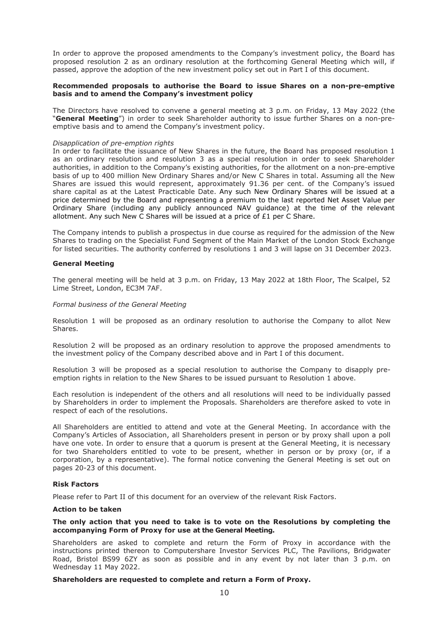In order to approve the proposed amendments to the Company's investment policy, the Board has proposed resolution 2 as an ordinary resolution at the forthcoming General Meeting which will, if passed, approve the adoption of the new investment policy set out in Part I of this document.

#### **Recommended proposals to authorise the Board to issue Shares on a non-pre-emptive basis and to amend the Company's investment policy**

The Directors have resolved to convene a general meeting at 3 p.m. on Friday, 13 May 2022 (the "**General Meeting**") in order to seek Shareholder authority to issue further Shares on a non-preemptive basis and to amend the Company's investment policy.

#### *Disapplication of pre-emption rights*

In order to facilitate the issuance of New Shares in the future, the Board has proposed resolution 1 as an ordinary resolution and resolution 3 as a special resolution in order to seek Shareholder authorities, in addition to the Company's existing authorities, for the allotment on a non-pre-emptive basis of up to 400 million New Ordinary Shares and/or New C Shares in total. Assuming all the New Shares are issued this would represent, approximately 91.36 per cent. of the Company's issued share capital as at the Latest Practicable Date. Any such New Ordinary Shares will be issued at a price determined by the Board and representing a premium to the last reported Net Asset Value per Ordinary Share (including any publicly announced NAV guidance) at the time of the relevant allotment. Any such New C Shares will be issued at a price of £1 per C Share.

The Company intends to publish a prospectus in due course as required for the admission of the New Shares to trading on the Specialist Fund Segment of the Main Market of the London Stock Exchange for listed securities. The authority conferred by resolutions 1 and 3 will lapse on 31 December 2023.

#### **General Meeting**

The general meeting will be held at 3 p.m. on Friday, 13 May 2022 at 18th Floor, The Scalpel, 52 Lime Street, London, EC3M 7AF.

#### *Formal business of the General Meeting*

Resolution 1 will be proposed as an ordinary resolution to authorise the Company to allot New Shares.

Resolution 2 will be proposed as an ordinary resolution to approve the proposed amendments to the investment policy of the Company described above and in Part I of this document.

Resolution 3 will be proposed as a special resolution to authorise the Company to disapply preemption rights in relation to the New Shares to be issued pursuant to Resolution 1 above.

Each resolution is independent of the others and all resolutions will need to be individually passed by Shareholders in order to implement the Proposals. Shareholders are therefore asked to vote in respect of each of the resolutions.

All Shareholders are entitled to attend and vote at the General Meeting. In accordance with the Company's Articles of Association, all Shareholders present in person or by proxy shall upon a poll have one vote. In order to ensure that a quorum is present at the General Meeting, it is necessary for two Shareholders entitled to vote to be present, whether in person or by proxy (or, if a corporation, by a representative). The formal notice convening the General Meeting is set out on pages 20-23 of this document.

#### **Risk Factors**

Please refer to Part II of this document for an overview of the relevant Risk Factors.

#### **Action to be taken**

#### **The only action that you need to take is to vote on the Resolutions by completing the accompanying Form of Proxy for use at the General Meeting.**

Shareholders are asked to complete and return the Form of Proxy in accordance with the instructions printed thereon to Computershare Investor Services PLC, The Pavilions, Bridgwater Road, Bristol BS99 6ZY as soon as possible and in any event by not later than 3 p.m. on Wednesday 11 May 2022.

#### **Shareholders are requested to complete and return a Form of Proxy.**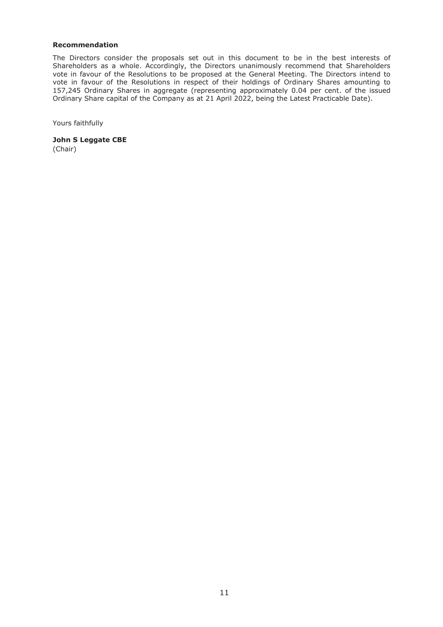### **Recommendation**

The Directors consider the proposals set out in this document to be in the best interests of Shareholders as a whole. Accordingly, the Directors unanimously recommend that Shareholders vote in favour of the Resolutions to be proposed at the General Meeting. The Directors intend to vote in favour of the Resolutions in respect of their holdings of Ordinary Shares amounting to 157,245 Ordinary Shares in aggregate (representing approximately 0.04 per cent. of the issued Ordinary Share capital of the Company as at 21 April 2022, being the Latest Practicable Date).

Yours faithfully

**John S Leggate CBE** (Chair)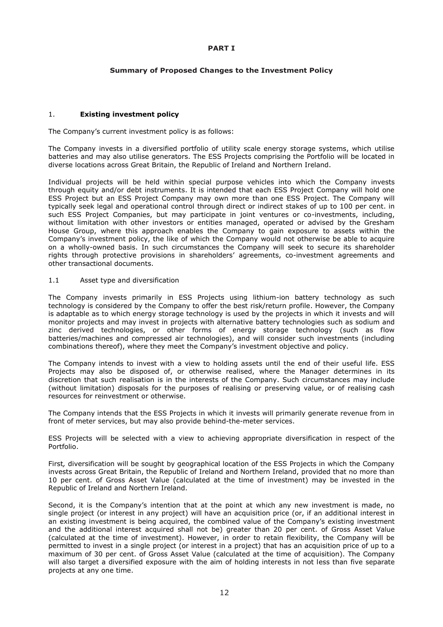#### **PART I**

## **Summary of Proposed Changes to the Investment Policy**

### 1. **Existing investment policy**

The Company's current investment policy is as follows:

The Company invests in a diversified portfolio of utility scale energy storage systems, which utilise batteries and may also utilise generators. The ESS Projects comprising the Portfolio will be located in diverse locations across Great Britain, the Republic of Ireland and Northern Ireland.

Individual projects will be held within special purpose vehicles into which the Company invests through equity and/or debt instruments. It is intended that each ESS Project Company will hold one ESS Project but an ESS Project Company may own more than one ESS Project. The Company will typically seek legal and operational control through direct or indirect stakes of up to 100 per cent. in such ESS Project Companies, but may participate in joint ventures or co-investments, including, without limitation with other investors or entities managed, operated or advised by the Gresham House Group, where this approach enables the Company to gain exposure to assets within the Company's investment policy, the like of which the Company would not otherwise be able to acquire on a wholly-owned basis. In such circumstances the Company will seek to secure its shareholder rights through protective provisions in shareholders' agreements, co-investment agreements and other transactional documents.

#### 1.1 Asset type and diversification

The Company invests primarily in ESS Projects using lithium-ion battery technology as such technology is considered by the Company to offer the best risk/return profile. However, the Company is adaptable as to which energy storage technology is used by the projects in which it invests and will monitor projects and may invest in projects with alternative battery technologies such as sodium and zinc derived technologies, or other forms of energy storage technology (such as flow batteries/machines and compressed air technologies), and will consider such investments (including combinations thereof), where they meet the Company's investment objective and policy.

The Company intends to invest with a view to holding assets until the end of their useful life. ESS Projects may also be disposed of, or otherwise realised, where the Manager determines in its discretion that such realisation is in the interests of the Company. Such circumstances may include (without limitation) disposals for the purposes of realising or preserving value, or of realising cash resources for reinvestment or otherwise.

The Company intends that the ESS Projects in which it invests will primarily generate revenue from in front of meter services, but may also provide behind-the-meter services.

ESS Projects will be selected with a view to achieving appropriate diversification in respect of the Portfolio.

First*,* diversification will be sought by geographical location of the ESS Projects in which the Company invests across Great Britain, the Republic of Ireland and Northern Ireland, provided that no more than 10 per cent. of Gross Asset Value (calculated at the time of investment) may be invested in the Republic of Ireland and Northern Ireland.

Second, it is the Company's intention that at the point at which any new investment is made, no single project (or interest in any project) will have an acquisition price (or, if an additional interest in an existing investment is being acquired, the combined value of the Company's existing investment and the additional interest acquired shall not be) greater than 20 per cent. of Gross Asset Value (calculated at the time of investment). However, in order to retain flexibility, the Company will be permitted to invest in a single project (or interest in a project) that has an acquisition price of up to a maximum of 30 per cent. of Gross Asset Value (calculated at the time of acquisition). The Company will also target a diversified exposure with the aim of holding interests in not less than five separate projects at any one time.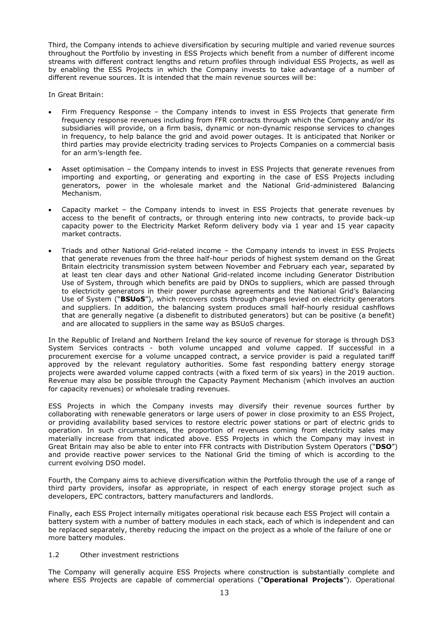Third, the Company intends to achieve diversification by securing multiple and varied revenue sources throughout the Portfolio by investing in ESS Projects which benefit from a number of different income streams with different contract lengths and return profiles through individual ESS Projects, as well as by enabling the ESS Projects in which the Company invests to take advantage of a number of different revenue sources. It is intended that the main revenue sources will be:

In Great Britain:

- Firm Frequency Response the Company intends to invest in ESS Projects that generate firm frequency response revenues including from FFR contracts through which the Company and/or its subsidiaries will provide, on a firm basis, dynamic or non-dynamic response services to changes in frequency, to help balance the grid and avoid power outages. It is anticipated that Noriker or third parties may provide electricity trading services to Projects Companies on a commercial basis for an arm's-length fee.
- Asset optimisation the Company intends to invest in ESS Projects that generate revenues from importing and exporting, or generating and exporting in the case of ESS Projects including generators, power in the wholesale market and the National Grid-administered Balancing Mechanism.
- Capacity market the Company intends to invest in ESS Projects that generate revenues by access to the benefit of contracts, or through entering into new contracts, to provide back-up capacity power to the Electricity Market Reform delivery body via 1 year and 15 year capacity market contracts.
- Triads and other National Grid-related income the Company intends to invest in ESS Projects that generate revenues from the three half-hour periods of highest system demand on the Great Britain electricity transmission system between November and February each year, separated by at least ten clear days and other National Grid-related income including Generator Distribution Use of System, through which benefits are paid by DNOs to suppliers, which are passed through to electricity generators in their power purchase agreements and the National Grid's Balancing Use of System ("**BSUoS**"), which recovers costs through charges levied on electricity generators and suppliers. In addition, the balancing system produces small half-hourly residual cashflows that are generally negative (a disbenefit to distributed generators) but can be positive (a benefit) and are allocated to suppliers in the same way as BSUoS charges.

In the Republic of Ireland and Northern Ireland the key source of revenue for storage is through DS3 System Services contracts - both volume uncapped and volume capped. If successful in a procurement exercise for a volume uncapped contract, a service provider is paid a regulated tariff approved by the relevant regulatory authorities. Some fast responding battery energy storage projects were awarded volume capped contracts (with a fixed term of six years) in the 2019 auction. Revenue may also be possible through the Capacity Payment Mechanism (which involves an auction for capacity revenues) or wholesale trading revenues.

ESS Projects in which the Company invests may diversify their revenue sources further by collaborating with renewable generators or large users of power in close proximity to an ESS Project, or providing availability based services to restore electric power stations or part of electric grids to operation. In such circumstances, the proportion of revenues coming from electricity sales may materially increase from that indicated above. ESS Projects in which the Company may invest in Great Britain may also be able to enter into FFR contracts with Distribution System Operators ("**DSO**") and provide reactive power services to the National Grid the timing of which is according to the current evolving DSO model.

Fourth, the Company aims to achieve diversification within the Portfolio through the use of a range of third party providers, insofar as appropriate, in respect of each energy storage project such as developers, EPC contractors, battery manufacturers and landlords.

Finally, each ESS Project internally mitigates operational risk because each ESS Project will contain a battery system with a number of battery modules in each stack, each of which is independent and can be replaced separately, thereby reducing the impact on the project as a whole of the failure of one or more battery modules.

#### 1.2 Other investment restrictions

The Company will generally acquire ESS Projects where construction is substantially complete and where ESS Projects are capable of commercial operations ("**Operational Projects**"). Operational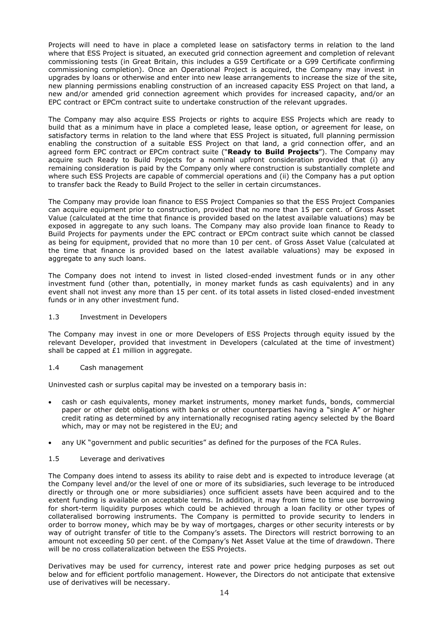Projects will need to have in place a completed lease on satisfactory terms in relation to the land where that ESS Project is situated, an executed grid connection agreement and completion of relevant commissioning tests (in Great Britain, this includes a G59 Certificate or a G99 Certificate confirming commissioning completion). Once an Operational Project is acquired, the Company may invest in upgrades by loans or otherwise and enter into new lease arrangements to increase the size of the site, new planning permissions enabling construction of an increased capacity ESS Project on that land, a new and/or amended grid connection agreement which provides for increased capacity, and/or an EPC contract or EPCm contract suite to undertake construction of the relevant upgrades.

The Company may also acquire ESS Projects or rights to acquire ESS Projects which are ready to build that as a minimum have in place a completed lease, lease option, or agreement for lease, on satisfactory terms in relation to the land where that ESS Project is situated, full planning permission enabling the construction of a suitable ESS Project on that land, a grid connection offer, and an agreed form EPC contract or EPCm contract suite ("**Ready to Build Projects**"). The Company may acquire such Ready to Build Projects for a nominal upfront consideration provided that (i) any remaining consideration is paid by the Company only where construction is substantially complete and where such ESS Projects are capable of commercial operations and (ii) the Company has a put option to transfer back the Ready to Build Project to the seller in certain circumstances.

The Company may provide loan finance to ESS Project Companies so that the ESS Project Companies can acquire equipment prior to construction, provided that no more than 15 per cent. of Gross Asset Value (calculated at the time that finance is provided based on the latest available valuations) may be exposed in aggregate to any such loans. The Company may also provide loan finance to Ready to Build Projects for payments under the EPC contract or EPCm contract suite which cannot be classed as being for equipment, provided that no more than 10 per cent. of Gross Asset Value (calculated at the time that finance is provided based on the latest available valuations) may be exposed in aggregate to any such loans.

The Company does not intend to invest in listed closed-ended investment funds or in any other investment fund (other than, potentially, in money market funds as cash equivalents) and in any event shall not invest any more than 15 per cent. of its total assets in listed closed-ended investment funds or in any other investment fund.

#### 1.3 Investment in Developers

The Company may invest in one or more Developers of ESS Projects through equity issued by the relevant Developer, provided that investment in Developers (calculated at the time of investment) shall be capped at £1 million in aggregate.

## 1.4 Cash management

Uninvested cash or surplus capital may be invested on a temporary basis in:

- cash or cash equivalents, money market instruments, money market funds, bonds, commercial paper or other debt obligations with banks or other counterparties having a "single A" or higher credit rating as determined by any internationally recognised rating agency selected by the Board which, may or may not be registered in the EU; and
- any UK "government and public securities" as defined for the purposes of the FCA Rules.
- 1.5 Leverage and derivatives

The Company does intend to assess its ability to raise debt and is expected to introduce leverage (at the Company level and/or the level of one or more of its subsidiaries, such leverage to be introduced directly or through one or more subsidiaries) once sufficient assets have been acquired and to the extent funding is available on acceptable terms. In addition, it may from time to time use borrowing for short-term liquidity purposes which could be achieved through a loan facility or other types of collateralised borrowing instruments. The Company is permitted to provide security to lenders in order to borrow money, which may be by way of mortgages, charges or other security interests or by way of outright transfer of title to the Company's assets. The Directors will restrict borrowing to an amount not exceeding 50 per cent. of the Company's Net Asset Value at the time of drawdown. There will be no cross collateralization between the ESS Projects.

Derivatives may be used for currency, interest rate and power price hedging purposes as set out below and for efficient portfolio management. However, the Directors do not anticipate that extensive use of derivatives will be necessary.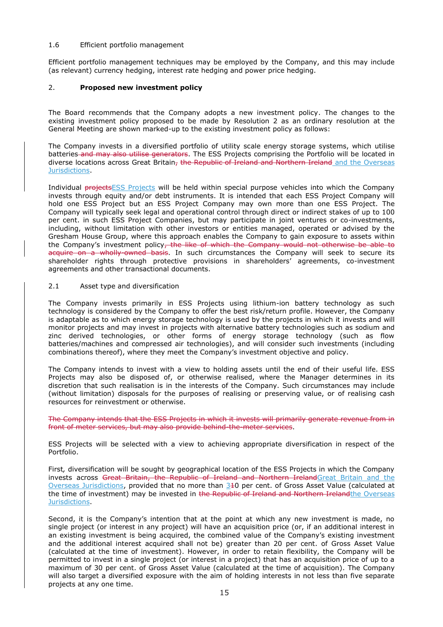#### 1.6 Efficient portfolio management

Efficient portfolio management techniques may be employed by the Company, and this may include (as relevant) currency hedging, interest rate hedging and power price hedging.

### 2. **Proposed new investment policy**

The Board recommends that the Company adopts a new investment policy. The changes to the existing investment policy proposed to be made by Resolution 2 as an ordinary resolution at the General Meeting are shown marked-up to the existing investment policy as follows:

The Company invests in a diversified portfolio of utility scale energy storage systems, which utilise batteries and may also utilise generators. The ESS Projects comprising the Portfolio will be located in diverse locations across Great Britain, the Republic of Ireland and Northern Ireland and the Overseas Jurisdictions.

Individual projectsESS Projects will be held within special purpose vehicles into which the Company invests through equity and/or debt instruments. It is intended that each ESS Project Company will hold one ESS Project but an ESS Project Company may own more than one ESS Project. The Company will typically seek legal and operational control through direct or indirect stakes of up to 100 per cent. in such ESS Project Companies, but may participate in joint ventures or co-investments, including, without limitation with other investors or entities managed, operated or advised by the Gresham House Group, where this approach enables the Company to gain exposure to assets within the Company's investment policy, the like of which the Company would not otherwise be able to acquire on a wholly-owned basis. In such circumstances the Company will seek to secure its shareholder rights through protective provisions in shareholders' agreements, co-investment agreements and other transactional documents.

#### 2.1 Asset type and diversification

The Company invests primarily in ESS Projects using lithium-ion battery technology as such technology is considered by the Company to offer the best risk/return profile. However, the Company is adaptable as to which energy storage technology is used by the projects in which it invests and will monitor projects and may invest in projects with alternative battery technologies such as sodium and zinc derived technologies, or other forms of energy storage technology (such as flow batteries/machines and compressed air technologies), and will consider such investments (including combinations thereof), where they meet the Company's investment objective and policy.

The Company intends to invest with a view to holding assets until the end of their useful life. ESS Projects may also be disposed of, or otherwise realised, where the Manager determines in its discretion that such realisation is in the interests of the Company. Such circumstances may include (without limitation) disposals for the purposes of realising or preserving value, or of realising cash resources for reinvestment or otherwise.

The Company intends that the ESS Projects in which it invests will primarily generate revenue from in front of meter services, but may also provide behind-the-meter services.

ESS Projects will be selected with a view to achieving appropriate diversification in respect of the Portfolio.

First*,* diversification will be sought by geographical location of the ESS Projects in which the Company invests across Great Britain, the Republic of Ireland and Northern IrelandGreat Britain and the Overseas Jurisdictions, provided that no more than 310 per cent. of Gross Asset Value (calculated at the time of investment) may be invested in the Republic of Ireland and Northern Irelandthe Overseas Jurisdictions.

Second, it is the Company's intention that at the point at which any new investment is made, no single project (or interest in any project) will have an acquisition price (or, if an additional interest in an existing investment is being acquired, the combined value of the Company's existing investment and the additional interest acquired shall not be) greater than 20 per cent. of Gross Asset Value (calculated at the time of investment). However, in order to retain flexibility, the Company will be permitted to invest in a single project (or interest in a project) that has an acquisition price of up to a maximum of 30 per cent. of Gross Asset Value (calculated at the time of acquisition). The Company will also target a diversified exposure with the aim of holding interests in not less than five separate projects at any one time.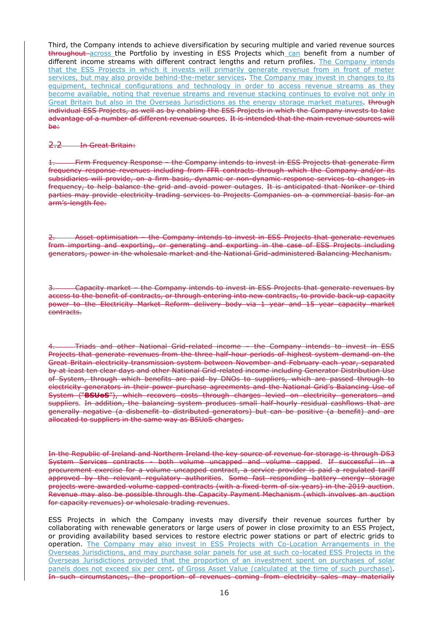Third, the Company intends to achieve diversification by securing multiple and varied revenue sources throughout across the Portfolio by investing in ESS Projects which can benefit from a number of different income streams with different contract lengths and return profiles. The Company intends that the ESS Projects in which it invests will primarily generate revenue from in front of meter services, but may also provide behind-the-meter services. The Company may invest in changes to its equipment, technical configurations and technology in order to access revenue streams as they become available, noting that revenue streams and revenue stacking continues to evolve not only in Great Britain but also in the Overseas Jurisdictions as the energy storage market matures. through individual ESS Projects, as well as by enabling the ESS Projects in which the Company invests to take advantage of a number of different revenue sources. It is intended that the main revenue sources will be:

2.2 In Great Britain:

1. Firm Frequency Response – the Company intends to invest in ESS Projects that generate firm frequency response revenues including from FFR contracts through which the Company and/or its subsidiaries will provide, on a firm basis, dynamic or non-dynamic response services to changes in frequency, to help balance the grid and avoid power outages. It is anticipated that Noriker or third parties may provide electricity trading services to Projects Companies on a commercial basis for an arm's-length fee.

2. Asset optimisation – the Company intends to invest in ESS Projects that generate revenues from importing and exporting, or generating and exporting in the case of ESS Projects including generators, power in the wholesale market and the National Grid-administered Balancing Mechanism.

3. Capacity market – the Company intends to invest in ESS Projects that generate revenues by access to the benefit of contracts, or through entering into new contracts, to provide back-up capacity power to the Electricity Market Reform delivery body via 1 year and 15 year capacity market contracts.

4. Triads and other National Grid-related income – the Company intends to invest in ESS Projects that generate revenues from the three half-hour periods of highest system demand on the Great Britain electricity transmission system between November and February each year, separated by at least ten clear days and other National Grid-related income including Generator Distribution Use of System, through which benefits are paid by DNOs to suppliers, which are passed through to electricity generators in their power purchase agreements and the National Grid's Balancing Use of System ("**BSUoS**"), which recovers costs through charges levied on electricity generators and suppliers. In addition, the balancing system produces small half-hourly residual cashflows that are generally negative (a disbenefit to distributed generators) but can be positive (a benefit) and are allocated to suppliers in the same way as BSUoS charges.

In the Republic of Ireland and Northern Ireland the key source of revenue for storage is through DS3 System Services contracts - both volume uncapped and volume capped. If successful in a procurement exercise for a volume uncapped contract, a service provider is paid a regulated tariff approved by the relevant regulatory authorities. Some fast responding battery energy storage projects were awarded volume capped contracts (with a fixed term of six years) in the 2019 auction. Revenue may also be possible through the Capacity Payment Mechanism (which involves an auction for capacity revenues) or wholesale trading revenues.

ESS Projects in which the Company invests may diversify their revenue sources further by collaborating with renewable generators or large users of power in close proximity to an ESS Project, or providing availability based services to restore electric power stations or part of electric grids to operation. The Company may also invest in ESS Projects with Co-Location Arrangements in the Overseas Jurisdictions, and may purchase solar panels for use at such co-located ESS Projects in the Overseas Jurisdictions provided that the proportion of an investment spent on purchases of solar panels does not exceed six per cent. of Gross Asset Value (calculated at the time of such purchase). In such circumstances, the proportion of revenues coming from electricity sales may materially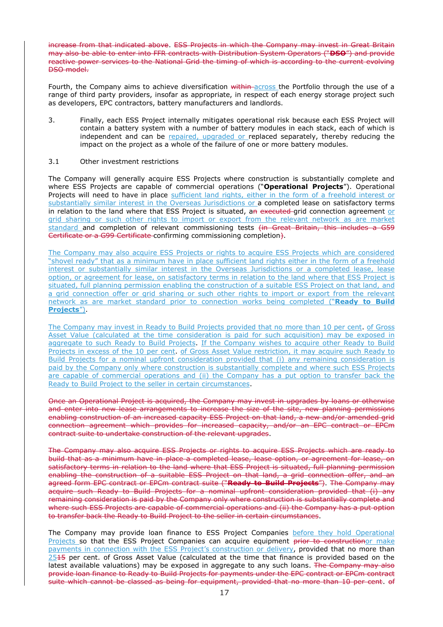increase from that indicated above. ESS Projects in which the Company may invest in Great Britain may also be able to enter into FFR contracts with Distribution System Operators ("**DSO**") and provide reactive power services to the National Grid the timing of which is according to the current evolving DSO model.

Fourth, the Company aims to achieve diversification within across the Portfolio through the use of a range of third party providers, insofar as appropriate, in respect of each energy storage project such as developers, EPC contractors, battery manufacturers and landlords.

- 3. Finally, each ESS Project internally mitigates operational risk because each ESS Project will contain a battery system with a number of battery modules in each stack, each of which is independent and can be repaired, upgraded or replaced separately, thereby reducing the impact on the project as a whole of the failure of one or more battery modules.
- 3.1 Other investment restrictions

The Company will generally acquire ESS Projects where construction is substantially complete and where ESS Projects are capable of commercial operations ("**Operational Projects**"). Operational Projects will need to have in place sufficient land rights, either in the form of a freehold interest or substantially similar interest in the Overseas Jurisdictions or a completed lease on satisfactory terms in relation to the land where that ESS Project is situated, an executed-grid connection agreement or grid sharing or such other rights to import or export from the relevant network as are market standard and completion of relevant commissioning tests (in Great Britain, this includes a G59 Certificate or a G99 Certificate confirming commissioning completion).

The Company may also acquire ESS Projects or rights to acquire ESS Projects which are considered "shovel ready" that as a minimum have in place sufficient land rights either in the form of a freehold interest or substantially similar interest in the Overseas Jurisdictions or a completed lease, lease option, or agreement for lease, on satisfactory terms in relation to the land where that ESS Project is situated, full planning permission enabling the construction of a suitable ESS Project on that land, and a grid connection offer or grid sharing or such other rights to import or export from the relevant network as are market standard prior to connection works being completed ("**Ready to Build Projects**").

The Company may invest in Ready to Build Projects provided that no more than 10 per cent. of Gross Asset Value (calculated at the time consideration is paid for such acquisition) may be exposed in aggregate to such Ready to Build Projects. If the Company wishes to acquire other Ready to Build Projects in excess of the 10 per cent. of Gross Asset Value restriction, it may acquire such Ready to Build Projects for a nominal upfront consideration provided that (i) any remaining consideration is paid by the Company only where construction is substantially complete and where such ESS Projects are capable of commercial operations and (ii) the Company has a put option to transfer back the Ready to Build Project to the seller in certain circumstances.

Once an Operational Project is acquired, the Company may invest in upgrades by loans or otherwise and enter into new lease arrangements to increase the size of the site, new planning permissions enabling construction of an increased capacity ESS Project on that land, a new and/or amended grid connection agreement which provides for increased capacity, and/or an EPC contract or EPCm contract suite to undertake construction of the relevant upgrades.

The Company may also acquire ESS Projects or rights to acquire ESS Projects which are ready to build that as a minimum have in place a completed lease, lease option, or agreement for lease, on satisfactory terms in relation to the land where that ESS Project is situated, full planning permission enabling the construction of a suitable ESS Project on that land, a grid connection offer, and an agreed form EPC contract or EPCm contract suite ("**Ready to Build Projects**"). The Company may acquire such Ready to Build Projects for a nominal upfront consideration provided that (i) any remaining consideration is paid by the Company only where construction is substantially complete and where such ESS Projects are capable of commercial operations and (ii) the Company has a put option to transfer back the Ready to Build Project to the seller in certain circumstances.

The Company may provide loan finance to ESS Project Companies before they hold Operational Projects so that the ESS Project Companies can acquire equipment prior to constructionor make payments in connection with the ESS Project's construction or delivery, provided that no more than  $2545$  per cent. of Gross Asset Value (calculated at the time that finance is provided based on the latest available valuations) may be exposed in aggregate to any such loans. The Company may also provide loan finance to Ready to Build Projects for payments under the EPC contract or EPCm contract suite which cannot be classed as being for equipment, provided that no more than 10 per cent. of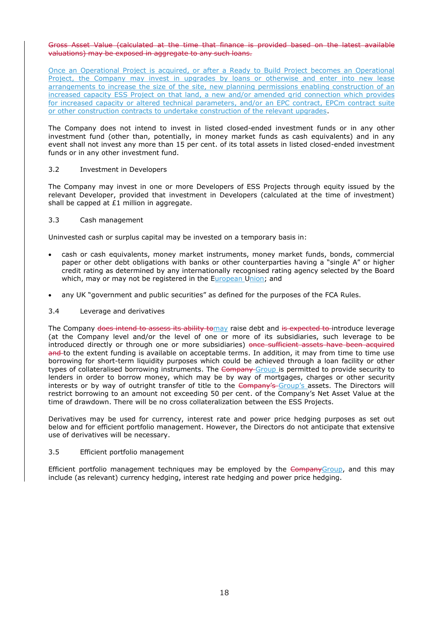#### Gross Asset Value (calculated at the time that finance is provided based on the latest available valuations) may be exposed in aggregate to any such loans.

Once an Operational Project is acquired, or after a Ready to Build Project becomes an Operational Project, the Company may invest in upgrades by loans or otherwise and enter into new lease arrangements to increase the size of the site, new planning permissions enabling construction of an increased capacity ESS Project on that land, a new and/or amended grid connection which provides for increased capacity or altered technical parameters, and/or an EPC contract, EPCm contract suite or other construction contracts to undertake construction of the relevant upgrades.

The Company does not intend to invest in listed closed-ended investment funds or in any other investment fund (other than, potentially, in money market funds as cash equivalents) and in any event shall not invest any more than 15 per cent. of its total assets in listed closed-ended investment funds or in any other investment fund.

#### 3.2 Investment in Developers

The Company may invest in one or more Developers of ESS Projects through equity issued by the relevant Developer, provided that investment in Developers (calculated at the time of investment) shall be capped at £1 million in aggregate.

## 3.3 Cash management

Uninvested cash or surplus capital may be invested on a temporary basis in:

- cash or cash equivalents, money market instruments, money market funds, bonds, commercial paper or other debt obligations with banks or other counterparties having a "single A" or higher credit rating as determined by any internationally recognised rating agency selected by the Board which, may or may not be registered in the European Union; and
- any UK "government and public securities" as defined for the purposes of the FCA Rules.
- 3.4 Leverage and derivatives

The Company does intend to assess its ability tomay raise debt and is expected to introduce leverage (at the Company level and/or the level of one or more of its subsidiaries, such leverage to be introduced directly or through one or more subsidiaries) once sufficient assets have been acquired and to the extent funding is available on acceptable terms. In addition, it may from time to time use borrowing for short-term liquidity purposes which could be achieved through a loan facility or other types of collateralised borrowing instruments. The Company Group is permitted to provide security to lenders in order to borrow money, which may be by way of mortgages, charges or other security interests or by way of outright transfer of title to the Company's Group's assets. The Directors will restrict borrowing to an amount not exceeding 50 per cent. of the Company's Net Asset Value at the time of drawdown. There will be no cross collateralization between the ESS Projects.

Derivatives may be used for currency, interest rate and power price hedging purposes as set out below and for efficient portfolio management. However, the Directors do not anticipate that extensive use of derivatives will be necessary.

### 3.5 Efficient portfolio management

Efficient portfolio management techniques may be employed by the CompanyGroup, and this may include (as relevant) currency hedging, interest rate hedging and power price hedging.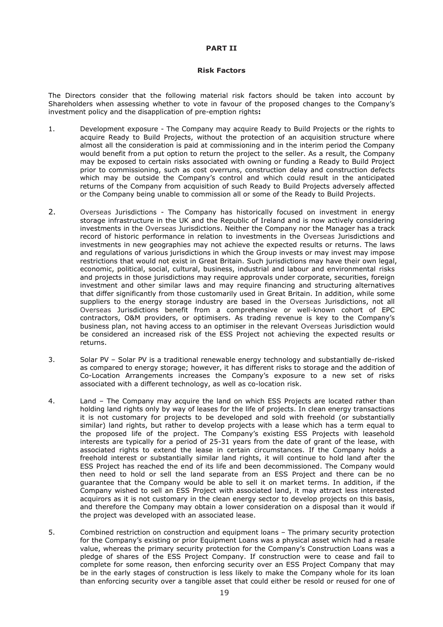#### **PART II**

#### **Risk Factors**

The Directors consider that the following material risk factors should be taken into account by Shareholders when assessing whether to vote in favour of the proposed changes to the Company's investment policy and the disapplication of pre-emption rights**:**

- 1. Development exposure The Company may acquire Ready to Build Projects or the rights to acquire Ready to Build Projects, without the protection of an acquisition structure where almost all the consideration is paid at commissioning and in the interim period the Company would benefit from a put option to return the project to the seller. As a result, the Company may be exposed to certain risks associated with owning or funding a Ready to Build Project prior to commissioning, such as cost overruns, construction delay and construction defects which may be outside the Company's control and which could result in the anticipated returns of the Company from acquisition of such Ready to Build Projects adversely affected or the Company being unable to commission all or some of the Ready to Build Projects.
- 2. Overseas Jurisdictions The Company has historically focused on investment in energy storage infrastructure in the UK and the Republic of Ireland and is now actively considering investments in the Overseas Jurisdictions. Neither the Company nor the Manager has a track record of historic performance in relation to investments in the Overseas Jurisdictions and investments in new geographies may not achieve the expected results or returns. The laws and regulations of various jurisdictions in which the Group invests or may invest may impose restrictions that would not exist in Great Britain. Such jurisdictions may have their own legal, economic, political, social, cultural, business, industrial and labour and environmental risks and projects in those jurisdictions may require approvals under corporate, securities, foreign investment and other similar laws and may require financing and structuring alternatives that differ significantly from those customarily used in Great Britain. In addition, while some suppliers to the energy storage industry are based in the Overseas Jurisdictions, not all Overseas Jurisdictions benefit from a comprehensive or well-known cohort of EPC contractors, O&M providers, or optimisers. As trading revenue is key to the Company's business plan, not having access to an optimiser in the relevant Overseas Jurisdiction would be considered an increased risk of the ESS Project not achieving the expected results or returns.
- 3. Solar PV Solar PV is a traditional renewable energy technology and substantially de-risked as compared to energy storage; however, it has different risks to storage and the addition of Co-Location Arrangements increases the Company's exposure to a new set of risks associated with a different technology, as well as co-location risk.
- 4. Land The Company may acquire the land on which ESS Projects are located rather than holding land rights only by way of leases for the life of projects. In clean energy transactions it is not customary for projects to be developed and sold with freehold (or substantially similar) land rights, but rather to develop projects with a lease which has a term equal to the proposed life of the project. The Company's existing ESS Projects with leasehold interests are typically for a period of 25-31 years from the date of grant of the lease, with associated rights to extend the lease in certain circumstances. If the Company holds a freehold interest or substantially similar land rights, it will continue to hold land after the ESS Project has reached the end of its life and been decommissioned. The Company would then need to hold or sell the land separate from an ESS Project and there can be no guarantee that the Company would be able to sell it on market terms. In addition, if the Company wished to sell an ESS Project with associated land, it may attract less interested acquirors as it is not customary in the clean energy sector to develop projects on this basis, and therefore the Company may obtain a lower consideration on a disposal than it would if the project was developed with an associated lease.
- 5. Combined restriction on construction and equipment loans The primary security protection for the Company's existing or prior Equipment Loans was a physical asset which had a resale value, whereas the primary security protection for the Company's Construction Loans was a pledge of shares of the ESS Project Company. If construction were to cease and fail to complete for some reason, then enforcing security over an ESS Project Company that may be in the early stages of construction is less likely to make the Company whole for its loan than enforcing security over a tangible asset that could either be resold or reused for one of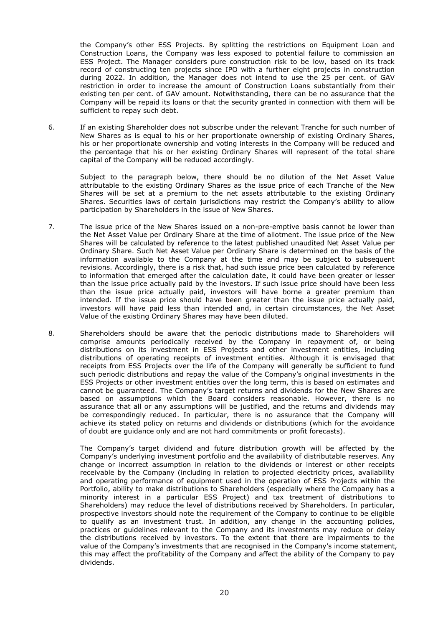the Company's other ESS Projects. By splitting the restrictions on Equipment Loan and Construction Loans, the Company was less exposed to potential failure to commission an ESS Project. The Manager considers pure construction risk to be low, based on its track record of constructing ten projects since IPO with a further eight projects in construction during 2022. In addition, the Manager does not intend to use the 25 per cent. of GAV restriction in order to increase the amount of Construction Loans substantially from their existing ten per cent. of GAV amount. Notwithstanding, there can be no assurance that the Company will be repaid its loans or that the security granted in connection with them will be sufficient to repay such debt.

6. If an existing Shareholder does not subscribe under the relevant Tranche for such number of New Shares as is equal to his or her proportionate ownership of existing Ordinary Shares, his or her proportionate ownership and voting interests in the Company will be reduced and the percentage that his or her existing Ordinary Shares will represent of the total share capital of the Company will be reduced accordingly.

Subject to the paragraph below, there should be no dilution of the Net Asset Value attributable to the existing Ordinary Shares as the issue price of each Tranche of the New Shares will be set at a premium to the net assets attributable to the existing Ordinary Shares. Securities laws of certain jurisdictions may restrict the Company's ability to allow participation by Shareholders in the issue of New Shares.

- 7. The issue price of the New Shares issued on a non-pre-emptive basis cannot be lower than the Net Asset Value per Ordinary Share at the time of allotment. The issue price of the New Shares will be calculated by reference to the latest published unaudited Net Asset Value per Ordinary Share. Such Net Asset Value per Ordinary Share is determined on the basis of the information available to the Company at the time and may be subject to subsequent revisions. Accordingly, there is a risk that, had such issue price been calculated by reference to information that emerged after the calculation date, it could have been greater or lesser than the issue price actually paid by the investors. If such issue price should have been less than the issue price actually paid, investors will have borne a greater premium than intended. If the issue price should have been greater than the issue price actually paid, investors will have paid less than intended and, in certain circumstances, the Net Asset Value of the existing Ordinary Shares may have been diluted.
- 8. Shareholders should be aware that the periodic distributions made to Shareholders will comprise amounts periodically received by the Company in repayment of, or being distributions on its investment in ESS Projects and other investment entities, including distributions of operating receipts of investment entities. Although it is envisaged that receipts from ESS Projects over the life of the Company will generally be sufficient to fund such periodic distributions and repay the value of the Company's original investments in the ESS Projects or other investment entities over the long term, this is based on estimates and cannot be guaranteed. The Company's target returns and dividends for the New Shares are based on assumptions which the Board considers reasonable. However, there is no assurance that all or any assumptions will be justified, and the returns and dividends may be correspondingly reduced. In particular, there is no assurance that the Company will achieve its stated policy on returns and dividends or distributions (which for the avoidance of doubt are guidance only and are not hard commitments or profit forecasts).

The Company's target dividend and future distribution growth will be affected by the Company's underlying investment portfolio and the availability of distributable reserves. Any change or incorrect assumption in relation to the dividends or interest or other receipts receivable by the Company (including in relation to projected electricity prices, availability and operating performance of equipment used in the operation of ESS Projects within the Portfolio, ability to make distributions to Shareholders (especially where the Company has a minority interest in a particular ESS Project) and tax treatment of distributions to Shareholders) may reduce the level of distributions received by Shareholders. In particular, prospective investors should note the requirement of the Company to continue to be eligible to qualify as an investment trust. In addition, any change in the accounting policies, practices or guidelines relevant to the Company and its investments may reduce or delay the distributions received by investors. To the extent that there are impairments to the value of the Company's investments that are recognised in the Company's income statement, this may affect the profitability of the Company and affect the ability of the Company to pay dividends.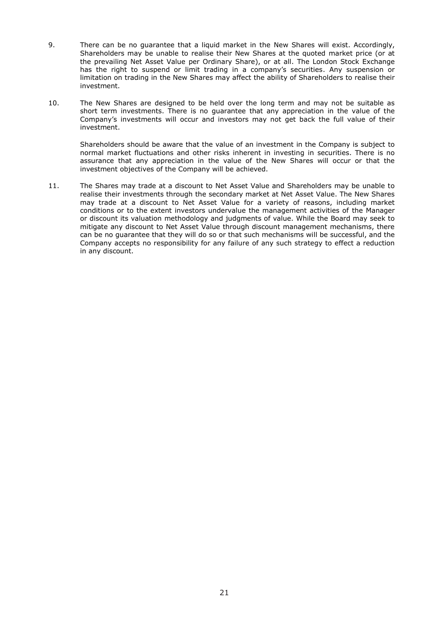- 9. There can be no guarantee that a liquid market in the New Shares will exist. Accordingly, Shareholders may be unable to realise their New Shares at the quoted market price (or at the prevailing Net Asset Value per Ordinary Share), or at all. The London Stock Exchange has the right to suspend or limit trading in a company's securities. Any suspension or limitation on trading in the New Shares may affect the ability of Shareholders to realise their investment.
- 10. The New Shares are designed to be held over the long term and may not be suitable as short term investments. There is no guarantee that any appreciation in the value of the Company's investments will occur and investors may not get back the full value of their investment.

Shareholders should be aware that the value of an investment in the Company is subject to normal market fluctuations and other risks inherent in investing in securities. There is no assurance that any appreciation in the value of the New Shares will occur or that the investment objectives of the Company will be achieved.

11. The Shares may trade at a discount to Net Asset Value and Shareholders may be unable to realise their investments through the secondary market at Net Asset Value. The New Shares may trade at a discount to Net Asset Value for a variety of reasons, including market conditions or to the extent investors undervalue the management activities of the Manager or discount its valuation methodology and judgments of value. While the Board may seek to mitigate any discount to Net Asset Value through discount management mechanisms, there can be no guarantee that they will do so or that such mechanisms will be successful, and the Company accepts no responsibility for any failure of any such strategy to effect a reduction in any discount.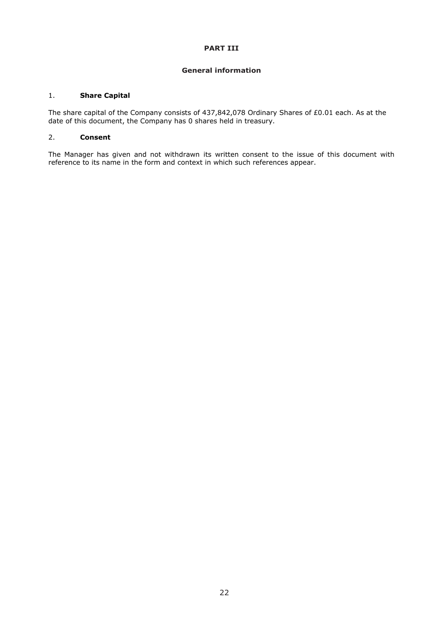#### **PART III**

## **General information**

## 1. **Share Capital**

The share capital of the Company consists of 437,842,078 Ordinary Shares of £0.01 each. As at the date of this document, the Company has 0 shares held in treasury.

## 2. **Consent**

The Manager has given and not withdrawn its written consent to the issue of this document with reference to its name in the form and context in which such references appear.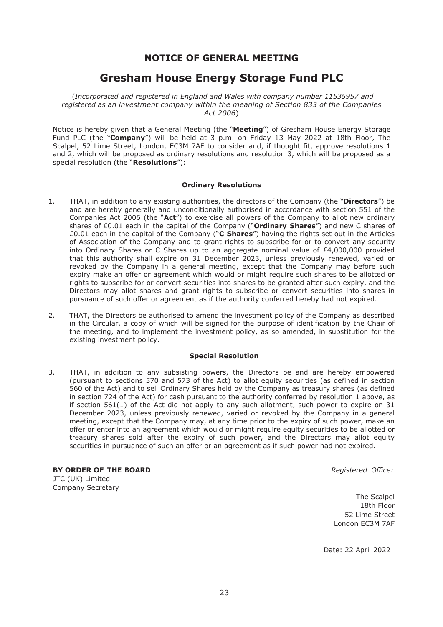## **NOTICE OF GENERAL MEETING**

# **Gresham House Energy Storage Fund PLC**

(*Incorporated and registered in England and Wales with company number 11535957 and registered as an investment company within the meaning of Section 833 of the Companies Act 2006*)

Notice is hereby given that a General Meeting (the "**Meeting**") of Gresham House Energy Storage Fund PLC (the "**Company**") will be held at 3 p.m. on Friday 13 May 2022 at 18th Floor, The Scalpel, 52 Lime Street, London, EC3M 7AF to consider and, if thought fit, approve resolutions 1 and 2, which will be proposed as ordinary resolutions and resolution 3, which will be proposed as a special resolution (the "**Resolutions**"):

## **Ordinary Resolutions**

- 1. THAT, in addition to any existing authorities, the directors of the Company (the "**Directors**") be and are hereby generally and unconditionally authorised in accordance with section 551 of the Companies Act 2006 (the "**Act**") to exercise all powers of the Company to allot new ordinary shares of £0.01 each in the capital of the Company ("**Ordinary Shares**") and new C shares of £0.01 each in the capital of the Company ("**C Shares**") having the rights set out in the Articles of Association of the Company and to grant rights to subscribe for or to convert any security into Ordinary Shares or C Shares up to an aggregate nominal value of  $E4,000,000$  provided that this authority shall expire on 31 December 2023, unless previously renewed, varied or revoked by the Company in a general meeting, except that the Company may before such expiry make an offer or agreement which would or might require such shares to be allotted or rights to subscribe for or convert securities into shares to be granted after such expiry, and the Directors may allot shares and grant rights to subscribe or convert securities into shares in pursuance of such offer or agreement as if the authority conferred hereby had not expired.
- 2. THAT, the Directors be authorised to amend the investment policy of the Company as described in the Circular, a copy of which will be signed for the purpose of identification by the Chair of the meeting, and to implement the investment policy, as so amended, in substitution for the existing investment policy.

## **Special Resolution**

3. THAT, in addition to any subsisting powers, the Directors be and are hereby empowered (pursuant to sections 570 and 573 of the Act) to allot equity securities (as defined in section 560 of the Act) and to sell Ordinary Shares held by the Company as treasury shares (as defined in section 724 of the Act) for cash pursuant to the authority conferred by resolution 1 above, as if section 561(1) of the Act did not apply to any such allotment, such power to expire on 31 December 2023, unless previously renewed, varied or revoked by the Company in a general meeting, except that the Company may, at any time prior to the expiry of such power, make an offer or enter into an agreement which would or might require equity securities to be allotted or treasury shares sold after the expiry of such power, and the Directors may allot equity securities in pursuance of such an offer or an agreement as if such power had not expired.

**BY ORDER OF THE BOARD** *Registered Office:* JTC (UK) Limited Company Secretary

The Scalpel 18th Floor 52 Lime Street London EC3M 7AF

Date: 22 April 2022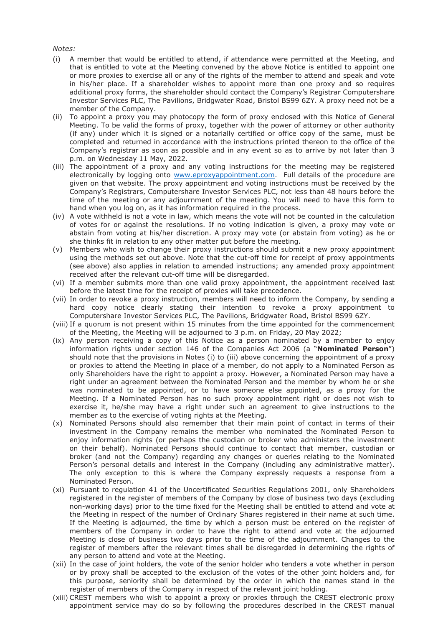#### *Notes:*

- (i) A member that would be entitled to attend, if attendance were permitted at the Meeting, and that is entitled to vote at the Meeting convened by the above Notice is entitled to appoint one or more proxies to exercise all or any of the rights of the member to attend and speak and vote in his/her place. If a shareholder wishes to appoint more than one proxy and so requires additional proxy forms, the shareholder should contact the Company's Registrar Computershare Investor Services PLC, The Pavilions, Bridgwater Road, Bristol BS99 6ZY. A proxy need not be a member of the Company.
- (ii) To appoint a proxy you may photocopy the form of proxy enclosed with this Notice of General Meeting. To be valid the forms of proxy, together with the power of attorney or other authority (if any) under which it is signed or a notarially certified or office copy of the same, must be completed and returned in accordance with the instructions printed thereon to the office of the Company's registrar as soon as possible and in any event so as to arrive by not later than 3 p.m. on Wednesday 11 May, 2022.
- (iii) The appointment of a proxy and any voting instructions for the meeting may be registered electronically by logging onto [www.eproxyappointment.com.](http://www.eproxyappointment.com/) Full details of the procedure are given on that website. The proxy appointment and voting instructions must be received by the Company's Registrars, Computershare Investor Services PLC, not less than 48 hours before the time of the meeting or any adjournment of the meeting. You will need to have this form to hand when you log on, as it has information required in the process.
- (iv) A vote withheld is not a vote in law, which means the vote will not be counted in the calculation of votes for or against the resolutions. If no voting indication is given, a proxy may vote or abstain from voting at his/her discretion. A proxy may vote (or abstain from voting) as he or she thinks fit in relation to any other matter put before the meeting.
- (v) Members who wish to change their proxy instructions should submit a new proxy appointment using the methods set out above. Note that the cut-off time for receipt of proxy appointments (see above) also applies in relation to amended instructions; any amended proxy appointment received after the relevant cut-off time will be disregarded.
- (vi) If a member submits more than one valid proxy appointment, the appointment received last before the latest time for the receipt of proxies will take precedence.
- (vii) In order to revoke a proxy instruction, members will need to inform the Company, by sending a hard copy notice clearly stating their intention to revoke a proxy appointment to Computershare Investor Services PLC, The Pavilions, Bridgwater Road, Bristol BS99 6ZY.
- (viii) If a quorum is not present within 15 minutes from the time appointed for the commencement of the Meeting, the Meeting will be adjourned to 3 p.m. on Friday, 20 May 2022;
- (ix) Any person receiving a copy of this Notice as a person nominated by a member to enjoy information rights under section 146 of the Companies Act 2006 (a "**Nominated Person**") should note that the provisions in Notes (i) to (iii) above concerning the appointment of a proxy or proxies to attend the Meeting in place of a member, do not apply to a Nominated Person as only Shareholders have the right to appoint a proxy. However, a Nominated Person may have a right under an agreement between the Nominated Person and the member by whom he or she was nominated to be appointed, or to have someone else appointed, as a proxy for the Meeting. If a Nominated Person has no such proxy appointment right or does not wish to exercise it, he/she may have a right under such an agreement to give instructions to the member as to the exercise of voting rights at the Meeting.
- (x) Nominated Persons should also remember that their main point of contact in terms of their investment in the Company remains the member who nominated the Nominated Person to enjoy information rights (or perhaps the custodian or broker who administers the investment on their behalf). Nominated Persons should continue to contact that member, custodian or broker (and not the Company) regarding any changes or queries relating to the Nominated Person's personal details and interest in the Company (including any administrative matter). The only exception to this is where the Company expressly requests a response from a Nominated Person.
- (xi) Pursuant to regulation 41 of the Uncertificated Securities Regulations 2001, only Shareholders registered in the register of members of the Company by close of business two days (excluding non-working days) prior to the time fixed for the Meeting shall be entitled to attend and vote at the Meeting in respect of the number of Ordinary Shares registered in their name at such time. If the Meeting is adjourned, the time by which a person must be entered on the register of members of the Company in order to have the right to attend and vote at the adjourned Meeting is close of business two days prior to the time of the adjournment. Changes to the register of members after the relevant times shall be disregarded in determining the rights of any person to attend and vote at the Meeting.
- (xii) In the case of joint holders, the vote of the senior holder who tenders a vote whether in person or by proxy shall be accepted to the exclusion of the votes of the other joint holders and, for this purpose, seniority shall be determined by the order in which the names stand in the register of members of the Company in respect of the relevant joint holding.
- (xiii) CREST members who wish to appoint a proxy or proxies through the CREST electronic proxy appointment service may do so by following the procedures described in the CREST manual